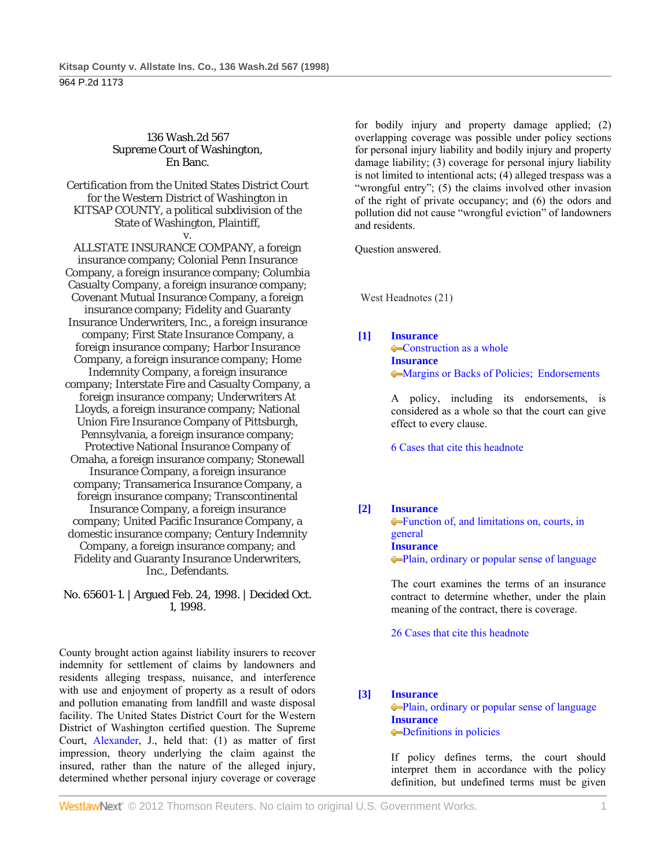### 136 Wash.2d 567 Supreme Court of Washington, En Banc.

Certification from the United States District Court for the Western District of Washington in KITSAP COUNTY, a political subdivision of the State of Washington, Plaintiff,

v.

ALLSTATE INSURANCE COMPANY, a foreign insurance company; Colonial Penn Insurance Company, a foreign insurance company; Columbia Casualty Company, a foreign insurance company; Covenant Mutual Insurance Company, a foreign insurance company; Fidelity and Guaranty Insurance Underwriters, Inc., a foreign insurance company; First State Insurance Company, a foreign insurance company; Harbor Insurance Company, a foreign insurance company; Home Indemnity Company, a foreign insurance company; Interstate Fire and Casualty Company, a foreign insurance company; Underwriters At Lloyds, a foreign insurance company; National Union Fire Insurance Company of Pittsburgh, Pennsylvania, a foreign insurance company; Protective National Insurance Company of Omaha, a foreign insurance company; Stonewall Insurance Company, a foreign insurance company; Transamerica Insurance Company, a foreign insurance company; Transcontinental Insurance Company, a foreign insurance company; United Pacific Insurance Company, a domestic insurance company; Century Indemnity Company, a foreign insurance company; and Fidelity and Guaranty Insurance Underwriters, Inc., Defendants.

No. 65601-1. | Argued Feb. 24, 1998. | Decided Oct. 1, 1998.

County brought action against liability insurers to recover indemnity for settlement of claims by landowners and residents alleging trespass, nuisance, and interference with use and enjoyment of property as a result of odors and pollution emanating from landfill and waste disposal facility. The United States District Court for the Western District of Washington certified question. The Supreme Court, Alexander, J., held that: (1) as matter of first impression, theory underlying the claim against the insured, rather than the nature of the alleged injury, determined whether personal injury coverage or coverage

for bodily injury and property damage applied; (2) overlapping coverage was possible under policy sections for personal injury liability and bodily injury and property damage liability; (3) coverage for personal injury liability is not limited to intentional acts; (4) alleged trespass was a "wrongful entry"; (5) the claims involved other invasion of the right of private occupancy; and (6) the odors and pollution did not cause "wrongful eviction" of landowners and residents.

Question answered.

West Headnotes (21)

### **[1] Insurance**

**Construction as a whole Insurance** Margins or Backs of Policies; Endorsements

 A policy, including its endorsements, is considered as a whole so that the court can give effect to every clause.

6 Cases that cite this headnote

### **[2] Insurance**

**Function of, and limitations on, courts, in** general **Insurance** Plain, ordinary or popular sense of language

 The court examines the terms of an insurance contract to determine whether, under the plain meaning of the contract, there is coverage.

26 Cases that cite this headnote

### **[3] Insurance**

Plain, ordinary or popular sense of language **Insurance Definitions in policies** 

 If policy defines terms, the court should interpret them in accordance with the policy definition, but undefined terms must be given

**WestlawNext** © 2012 Thomson Reuters. No claim to original U.S. Government Works. 1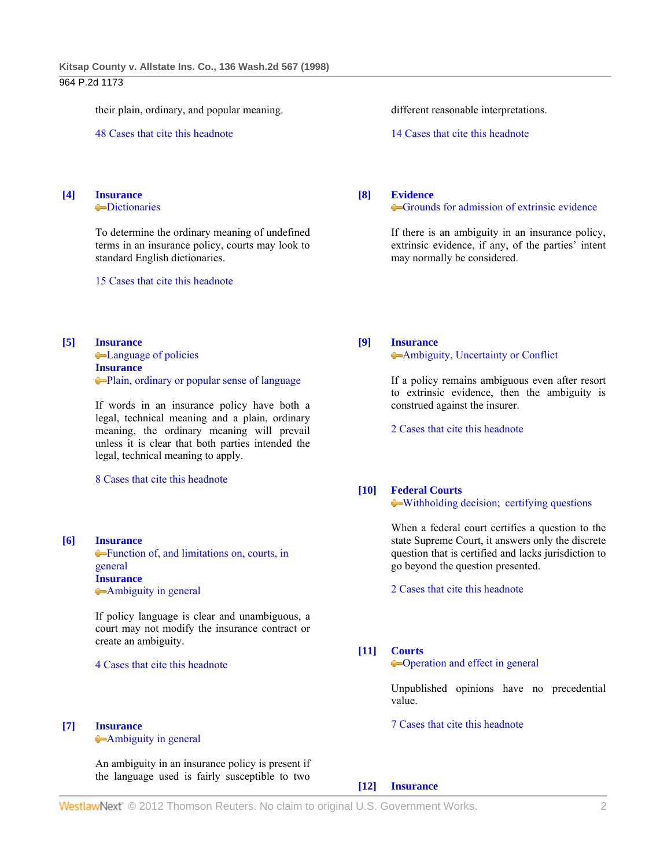## 964 P.2d 1173

their plain, ordinary, and popular meaning.

48 Cases that cite this headnote

#### **[4] Insurance Dictionaries**

 To determine the ordinary meaning of undefined terms in an insurance policy, courts may look to standard English dictionaries.

15 Cases that cite this headnote

**[5] Insurance** Language of policies **Insurance**

Plain, ordinary or popular sense of language

 If words in an insurance policy have both a legal, technical meaning and a plain, ordinary meaning, the ordinary meaning will prevail unless it is clear that both parties intended the legal, technical meaning to apply.

8 Cases that cite this headnote

### **[6] Insurance**

Function of, and limitations on, courts, in general **Insurance** Ambiguity in general

 If policy language is clear and unambiguous, a court may not modify the insurance contract or create an ambiguity.

4 Cases that cite this headnote

#### **[7] Insurance**

Ambiguity in general

 An ambiguity in an insurance policy is present if the language used is fairly susceptible to two different reasonable interpretations.

14 Cases that cite this headnote

#### **[8] Evidence**

#### Grounds for admission of extrinsic evidence

 If there is an ambiguity in an insurance policy, extrinsic evidence, if any, of the parties' intent may normally be considered.

**[9] Insurance**

# Ambiguity, Uncertainty or Conflict

 If a policy remains ambiguous even after resort to extrinsic evidence, then the ambiguity is construed against the insurer.

2 Cases that cite this headnote

## **[10] Federal Courts**

Withholding decision; certifying questions

 When a federal court certifies a question to the state Supreme Court, it answers only the discrete question that is certified and lacks jurisdiction to go beyond the question presented.

2 Cases that cite this headnote

**[11] Courts**

Operation and effect in general

 Unpublished opinions have no precedential value.

7 Cases that cite this headnote

### **[12] Insurance**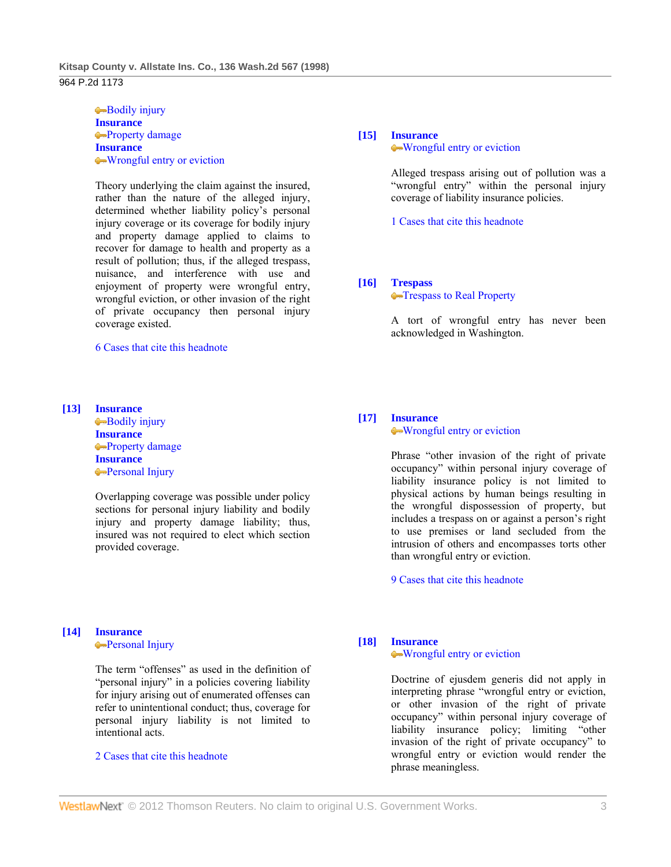964 P.2d 1173

Bodily injury **Insurance Property damage Insurance** Wrongful entry or eviction

 Theory underlying the claim against the insured, rather than the nature of the alleged injury, determined whether liability policy's personal injury coverage or its coverage for bodily injury and property damage applied to claims to recover for damage to health and property as a result of pollution; thus, if the alleged trespass, nuisance, and interference with use and enjoyment of property were wrongful entry, wrongful eviction, or other invasion of the right of private occupancy then personal injury coverage existed.

6 Cases that cite this headnote

### **[13] Insurance**

Bodily injury **Insurance** Property damage **Insurance Personal Injury** 

 Overlapping coverage was possible under policy sections for personal injury liability and bodily injury and property damage liability; thus, insured was not required to elect which section provided coverage.

# **[14] Insurance**

**Personal Injury** 

 The term "offenses" as used in the definition of "personal injury" in a policies covering liability for injury arising out of enumerated offenses can refer to unintentional conduct; thus, coverage for personal injury liability is not limited to intentional acts.

## 2 Cases that cite this headnote

# **[15] Insurance** Wrongful entry or eviction

 Alleged trespass arising out of pollution was a "wrongful entry" within the personal injury coverage of liability insurance policies.

1 Cases that cite this headnote

# **[16] Trespass**

**Trespass to Real Property** 

 A tort of wrongful entry has never been acknowledged in Washington.

### **[17] Insurance** Wrongful entry or eviction

 Phrase "other invasion of the right of private occupancy" within personal injury coverage of liability insurance policy is not limited to physical actions by human beings resulting in the wrongful dispossession of property, but includes a trespass on or against a person's right to use premises or land secluded from the intrusion of others and encompasses torts other than wrongful entry or eviction.

9 Cases that cite this headnote

# **[18] Insurance**

## Wrongful entry or eviction

 Doctrine of ejusdem generis did not apply in interpreting phrase "wrongful entry or eviction, or other invasion of the right of private occupancy" within personal injury coverage of liability insurance policy; limiting "other invasion of the right of private occupancy" to wrongful entry or eviction would render the phrase meaningless.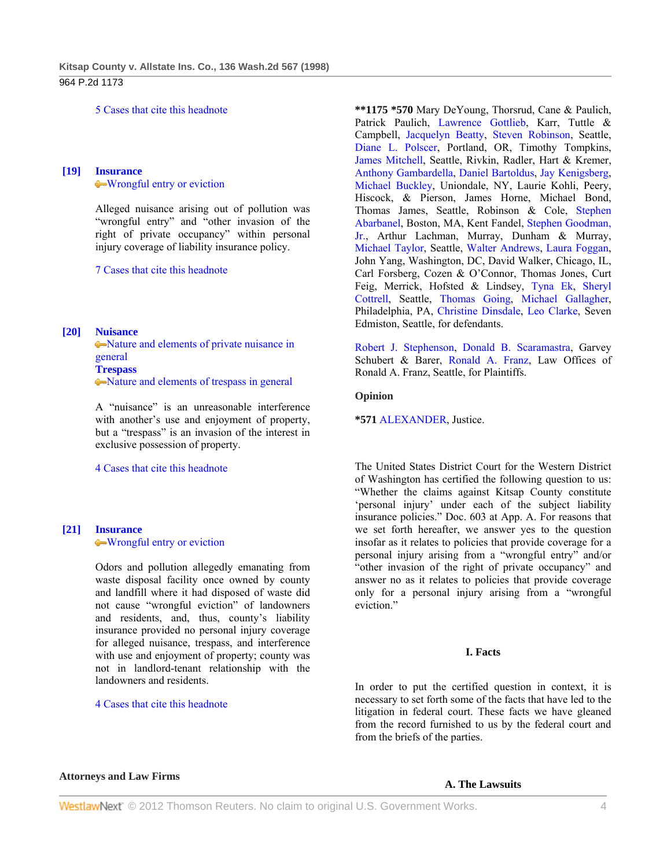964 P.2d 1173

5 Cases that cite this headnote

## **[19] Insurance** Wrongful entry or eviction

 Alleged nuisance arising out of pollution was "wrongful entry" and "other invasion of the right of private occupancy" within personal injury coverage of liability insurance policy.

7 Cases that cite this headnote

### **[20] Nuisance**

Nature and elements of private nuisance in general **Trespass** Nature and elements of trespass in general

 A "nuisance" is an unreasonable interference with another's use and enjoyment of property, but a "trespass" is an invasion of the interest in exclusive possession of property.

4 Cases that cite this headnote

## **[21] Insurance** Wrongful entry or eviction

 Odors and pollution allegedly emanating from waste disposal facility once owned by county and landfill where it had disposed of waste did not cause "wrongful eviction" of landowners and residents, and, thus, county's liability insurance provided no personal injury coverage for alleged nuisance, trespass, and interference with use and enjoyment of property; county was not in landlord-tenant relationship with the landowners and residents.

4 Cases that cite this headnote

**\*\*1175 \*570** Mary DeYoung, Thorsrud, Cane & Paulich, Patrick Paulich, Lawrence Gottlieb, Karr, Tuttle & Campbell, Jacquelyn Beatty, Steven Robinson, Seattle, Diane L. Polscer, Portland, OR, Timothy Tompkins, James Mitchell, Seattle, Rivkin, Radler, Hart & Kremer, Anthony Gambardella, Daniel Bartoldus, Jay Kenigsberg, Michael Buckley, Uniondale, NY, Laurie Kohli, Peery, Hiscock, & Pierson, James Horne, Michael Bond, Thomas James, Seattle, Robinson & Cole, Stephen Abarbanel, Boston, MA, Kent Fandel, Stephen Goodman, Jr., Arthur Lachman, Murray, Dunham & Murray, Michael Taylor, Seattle, Walter Andrews, Laura Foggan, John Yang, Washington, DC, David Walker, Chicago, IL, Carl Forsberg, Cozen & O'Connor, Thomas Jones, Curt Feig, Merrick, Hofsted & Lindsey, Tyna Ek, Sheryl Cottrell, Seattle, Thomas Going, Michael Gallagher, Philadelphia, PA, Christine Dinsdale, Leo Clarke, Seven Edmiston, Seattle, for defendants.

Robert J. Stephenson, Donald B. Scaramastra, Garvey Schubert & Barer, Ronald A. Franz, Law Offices of Ronald A. Franz, Seattle, for Plaintiffs.

### **Opinion**

**\*571** ALEXANDER, Justice.

The United States District Court for the Western District of Washington has certified the following question to us: "Whether the claims against Kitsap County constitute 'personal injury' under each of the subject liability insurance policies." Doc. 603 at App. A. For reasons that we set forth hereafter, we answer yes to the question insofar as it relates to policies that provide coverage for a personal injury arising from a "wrongful entry" and/or "other invasion of the right of private occupancy" and answer no as it relates to policies that provide coverage only for a personal injury arising from a "wrongful eviction."

### **I. Facts**

In order to put the certified question in context, it is necessary to set forth some of the facts that have led to the litigation in federal court. These facts we have gleaned from the record furnished to us by the federal court and from the briefs of the parties.

### **Attorneys and Law Firms**

**A. The Lawsuits**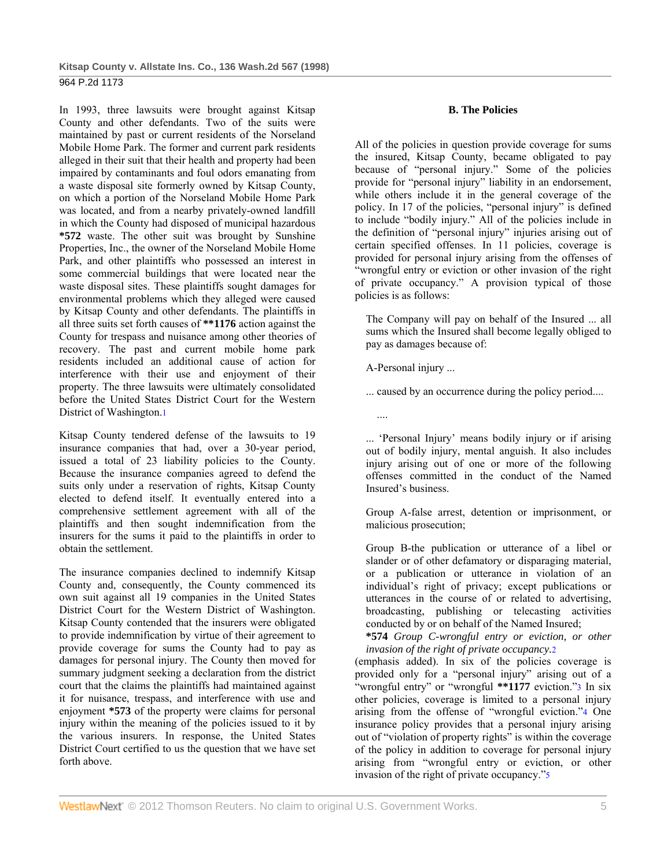In 1993, three lawsuits were brought against Kitsap County and other defendants. Two of the suits were maintained by past or current residents of the Norseland Mobile Home Park. The former and current park residents alleged in their suit that their health and property had been impaired by contaminants and foul odors emanating from a waste disposal site formerly owned by Kitsap County, on which a portion of the Norseland Mobile Home Park was located, and from a nearby privately-owned landfill in which the County had disposed of municipal hazardous **\*572** waste. The other suit was brought by Sunshine Properties, Inc., the owner of the Norseland Mobile Home Park, and other plaintiffs who possessed an interest in some commercial buildings that were located near the waste disposal sites. These plaintiffs sought damages for environmental problems which they alleged were caused by Kitsap County and other defendants. The plaintiffs in all three suits set forth causes of **\*\*1176** action against the County for trespass and nuisance among other theories of recovery. The past and current mobile home park residents included an additional cause of action for interference with their use and enjoyment of their property. The three lawsuits were ultimately consolidated before the United States District Court for the Western District of Washington.1

Kitsap County tendered defense of the lawsuits to 19 insurance companies that had, over a 30-year period, issued a total of 23 liability policies to the County. Because the insurance companies agreed to defend the suits only under a reservation of rights, Kitsap County elected to defend itself. It eventually entered into a comprehensive settlement agreement with all of the plaintiffs and then sought indemnification from the insurers for the sums it paid to the plaintiffs in order to obtain the settlement.

The insurance companies declined to indemnify Kitsap County and, consequently, the County commenced its own suit against all 19 companies in the United States District Court for the Western District of Washington. Kitsap County contended that the insurers were obligated to provide indemnification by virtue of their agreement to provide coverage for sums the County had to pay as damages for personal injury. The County then moved for summary judgment seeking a declaration from the district court that the claims the plaintiffs had maintained against it for nuisance, trespass, and interference with use and enjoyment **\*573** of the property were claims for personal injury within the meaning of the policies issued to it by the various insurers. In response, the United States District Court certified to us the question that we have set forth above.

## **B. The Policies**

All of the policies in question provide coverage for sums the insured, Kitsap County, became obligated to pay because of "personal injury." Some of the policies provide for "personal injury" liability in an endorsement, while others include it in the general coverage of the policy. In 17 of the policies, "personal injury" is defined to include "bodily injury." All of the policies include in the definition of "personal injury" injuries arising out of certain specified offenses. In 11 policies, coverage is provided for personal injury arising from the offenses of "wrongful entry or eviction or other invasion of the right of private occupancy." A provision typical of those policies is as follows:

The Company will pay on behalf of the Insured ... all sums which the Insured shall become legally obliged to pay as damages because of:

A-Personal injury ...

Insured's business.

... caused by an occurrence during the policy period....

.... ... 'Personal Injury' means bodily injury or if arising out of bodily injury, mental anguish. It also includes injury arising out of one or more of the following offenses committed in the conduct of the Named

Group A-false arrest, detention or imprisonment, or malicious prosecution;

Group B-the publication or utterance of a libel or slander or of other defamatory or disparaging material, or a publication or utterance in violation of an individual's right of privacy; except publications or utterances in the course of or related to advertising, broadcasting, publishing or telecasting activities conducted by or on behalf of the Named Insured;

**\*574** *Group C-wrongful entry or eviction, or other invasion of the right of private occupancy.*2

(emphasis added). In six of the policies coverage is provided only for a "personal injury" arising out of a "wrongful entry" or "wrongful **\*\*1177** eviction."3 In six other policies, coverage is limited to a personal injury arising from the offense of "wrongful eviction."4 One insurance policy provides that a personal injury arising out of "violation of property rights" is within the coverage of the policy in addition to coverage for personal injury arising from "wrongful entry or eviction, or other invasion of the right of private occupancy."5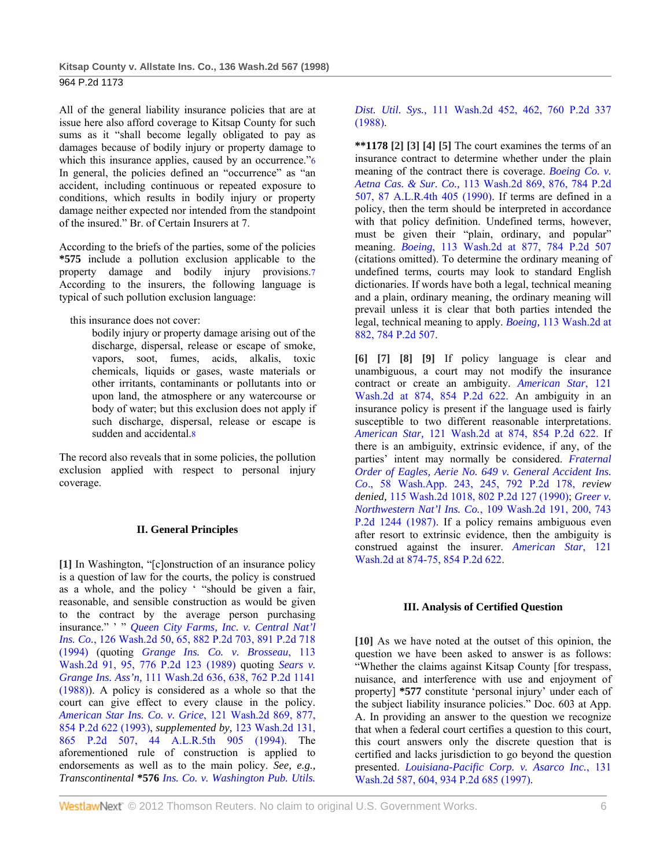All of the general liability insurance policies that are at issue here also afford coverage to Kitsap County for such sums as it "shall become legally obligated to pay as damages because of bodily injury or property damage to which this insurance applies, caused by an occurrence."<sup>6</sup> In general, the policies defined an "occurrence" as "an accident, including continuous or repeated exposure to conditions, which results in bodily injury or property damage neither expected nor intended from the standpoint of the insured." Br. of Certain Insurers at 7.

According to the briefs of the parties, some of the policies **\*575** include a pollution exclusion applicable to the property damage and bodily injury provisions.7 According to the insurers, the following language is typical of such pollution exclusion language:

this insurance does not cover:

bodily injury or property damage arising out of the discharge, dispersal, release or escape of smoke, vapors, soot, fumes, acids, alkalis, toxic chemicals, liquids or gases, waste materials or other irritants, contaminants or pollutants into or upon land, the atmosphere or any watercourse or body of water; but this exclusion does not apply if such discharge, dispersal, release or escape is sudden and accidental.8

The record also reveals that in some policies, the pollution exclusion applied with respect to personal injury coverage.

# **II. General Principles**

**[1]** In Washington, "[c]onstruction of an insurance policy is a question of law for the courts, the policy is construed as a whole, and the policy ' "should be given a fair, reasonable, and sensible construction as would be given to the contract by the average person purchasing insurance." ' " *Queen City Farms, Inc. v. Central Nat'l Ins. Co.*, 126 Wash.2d 50, 65, 882 P.2d 703, 891 P.2d 718 (1994) (quoting *Grange Ins. Co. v. Brosseau*, 113 Wash.2d 91, 95, 776 P.2d 123 (1989) quoting *Sears v. Grange Ins. Ass'n,* 111 Wash.2d 636, 638, 762 P.2d 1141 (1988)). A policy is considered as a whole so that the court can give effect to every clause in the policy. *American Star Ins. Co. v. Grice*, 121 Wash.2d 869, 877, 854 P.2d 622 (1993), *supplemented by,* 123 Wash.2d 131, 865 P.2d 507, 44 A.L.R.5th 905 (1994). The aforementioned rule of construction is applied to endorsements as well as to the main policy. *See, e.g., Transcontinental* **\*576** *Ins. Co. v. Washington Pub. Utils.* 

# *Dist. Util. Sys.,* 111 Wash.2d 452, 462, 760 P.2d 337 (1988).

**\*\*1178 [2] [3] [4] [5]** The court examines the terms of an insurance contract to determine whether under the plain meaning of the contract there is coverage. *Boeing Co. v. Aetna Cas. & Sur. Co.,* 113 Wash.2d 869, 876, 784 P.2d 507, 87 A.L.R.4th 405 (1990). If terms are defined in a policy, then the term should be interpreted in accordance with that policy definition. Undefined terms, however, must be given their "plain, ordinary, and popular" meaning. *Boeing*, 113 Wash.2d at 877, 784 P.2d 507 (citations omitted). To determine the ordinary meaning of undefined terms, courts may look to standard English dictionaries. If words have both a legal, technical meaning and a plain, ordinary meaning, the ordinary meaning will prevail unless it is clear that both parties intended the legal, technical meaning to apply. *Boeing,* 113 Wash.2d at 882, 784 P.2d 507.

**[6] [7] [8] [9]** If policy language is clear and unambiguous, a court may not modify the insurance contract or create an ambiguity. *American Star*, 121 Wash.2d at 874, 854 P.2d 622. An ambiguity in an insurance policy is present if the language used is fairly susceptible to two different reasonable interpretations. *American Star,* 121 Wash.2d at 874, 854 P.2d 622. If there is an ambiguity, extrinsic evidence, if any, of the parties' intent may normally be considered. *Fraternal Order of Eagles, Aerie No. 649 v. General Accident Ins. Co*., 58 Wash.App. 243, 245, 792 P.2d 178, *review denied,* 115 Wash.2d 1018, 802 P.2d 127 (1990); *Greer v. Northwestern Nat'l Ins. Co.*, 109 Wash.2d 191, 200, 743 P.2d 1244 (1987). If a policy remains ambiguous even after resort to extrinsic evidence, then the ambiguity is construed against the insurer. *American Star*, 121 Wash.2d at 874-75, 854 P.2d 622.

# **III. Analysis of Certified Question**

**[10]** As we have noted at the outset of this opinion, the question we have been asked to answer is as follows: "Whether the claims against Kitsap County [for trespass, nuisance, and interference with use and enjoyment of property] **\*577** constitute 'personal injury' under each of the subject liability insurance policies." Doc. 603 at App. A. In providing an answer to the question we recognize that when a federal court certifies a question to this court, this court answers only the discrete question that is certified and lacks jurisdiction to go beyond the question presented. *Louisiana-Pacific Corp. v. Asarco Inc.*, 131 Wash.2d 587, 604, 934 P.2d 685 (1997).

WestlawNext" © 2012 Thomson Reuters. No claim to original U.S. Government Works. 6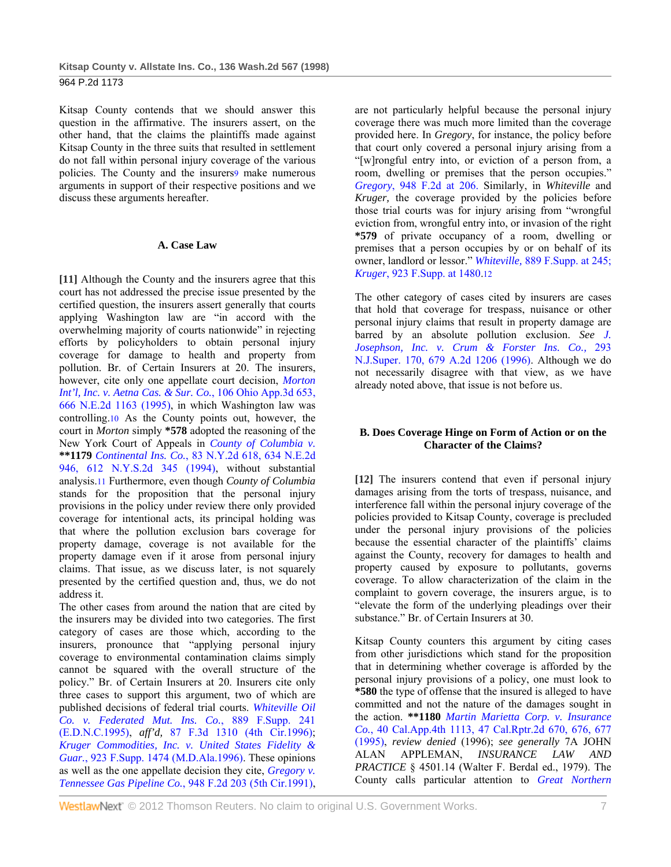Kitsap County contends that we should answer this question in the affirmative. The insurers assert, on the other hand, that the claims the plaintiffs made against Kitsap County in the three suits that resulted in settlement do not fall within personal injury coverage of the various policies. The County and the insurers9 make numerous arguments in support of their respective positions and we discuss these arguments hereafter.

## **A. Case Law**

**[11]** Although the County and the insurers agree that this court has not addressed the precise issue presented by the certified question, the insurers assert generally that courts applying Washington law are "in accord with the overwhelming majority of courts nationwide" in rejecting efforts by policyholders to obtain personal injury coverage for damage to health and property from pollution. Br. of Certain Insurers at 20. The insurers, however, cite only one appellate court decision, *Morton Int'l, Inc. v. Aetna Cas. & Sur. Co.*, 106 Ohio App.3d 653, 666 N.E.2d 1163 (1995), in which Washington law was controlling.10 As the County points out, however, the court in *Morton* simply **\*578** adopted the reasoning of the New York Court of Appeals in *County of Columbia v.*  **\*\*1179** *Continental Ins. Co.*, 83 N.Y.2d 618, 634 N.E.2d 946, 612 N.Y.S.2d 345 (1994), without substantial analysis.11 Furthermore, even though *County of Columbia* stands for the proposition that the personal injury provisions in the policy under review there only provided coverage for intentional acts, its principal holding was that where the pollution exclusion bars coverage for property damage, coverage is not available for the property damage even if it arose from personal injury claims. That issue, as we discuss later, is not squarely presented by the certified question and, thus, we do not address it.

The other cases from around the nation that are cited by the insurers may be divided into two categories. The first category of cases are those which, according to the insurers, pronounce that "applying personal injury coverage to environmental contamination claims simply cannot be squared with the overall structure of the policy." Br. of Certain Insurers at 20. Insurers cite only three cases to support this argument, two of which are published decisions of federal trial courts. *Whiteville Oil Co. v. Federated Mut. Ins. Co.*, 889 F.Supp. 241 (E.D.N.C.1995), *aff'd,* 87 F.3d 1310 (4th Cir.1996); *Kruger Commodities, Inc. v. United States Fidelity & Guar.*, 923 F.Supp. 1474 (M.D.Ala.1996). These opinions as well as the one appellate decision they cite, *Gregory v. Tennessee Gas Pipeline Co.*, 948 F.2d 203 (5th Cir.1991),

are not particularly helpful because the personal injury coverage there was much more limited than the coverage provided here. In *Gregory*, for instance, the policy before that court only covered a personal injury arising from a "[w]rongful entry into, or eviction of a person from, a room, dwelling or premises that the person occupies." *Gregory*, 948 F.2d at 206. Similarly, in *Whiteville* and *Kruger,* the coverage provided by the policies before those trial courts was for injury arising from "wrongful eviction from, wrongful entry into, or invasion of the right **\*579** of private occupancy of a room, dwelling or premises that a person occupies by or on behalf of its owner, landlord or lessor." *Whiteville,* 889 F.Supp. at 245; *Kruger*, 923 F.Supp. at 1480.12

The other category of cases cited by insurers are cases that hold that coverage for trespass, nuisance or other personal injury claims that result in property damage are barred by an absolute pollution exclusion. *See J. Josephson, Inc. v. Crum & Forster Ins. Co.,* 293 N.J.Super. 170, 679 A.2d 1206 (1996). Although we do not necessarily disagree with that view, as we have already noted above, that issue is not before us.

## **B. Does Coverage Hinge on Form of Action or on the Character of the Claims?**

**[12]** The insurers contend that even if personal injury damages arising from the torts of trespass, nuisance, and interference fall within the personal injury coverage of the policies provided to Kitsap County, coverage is precluded under the personal injury provisions of the policies because the essential character of the plaintiffs' claims against the County, recovery for damages to health and property caused by exposure to pollutants, governs coverage. To allow characterization of the claim in the complaint to govern coverage, the insurers argue, is to "elevate the form of the underlying pleadings over their substance." Br. of Certain Insurers at 30.

Kitsap County counters this argument by citing cases from other jurisdictions which stand for the proposition that in determining whether coverage is afforded by the personal injury provisions of a policy, one must look to **\*580** the type of offense that the insured is alleged to have committed and not the nature of the damages sought in the action. **\*\*1180** *Martin Marietta Corp. v. Insurance Co.*, 40 Cal.App.4th 1113, 47 Cal.Rptr.2d 670, 676, 677 (1995), *review denied* (1996); *see generally* 7A JOHN ALAN APPLEMAN, *INSURANCE LAW AND PRACTICE* § 4501.14 (Walter F. Berdal ed., 1979). The County calls particular attention to *Great Northern*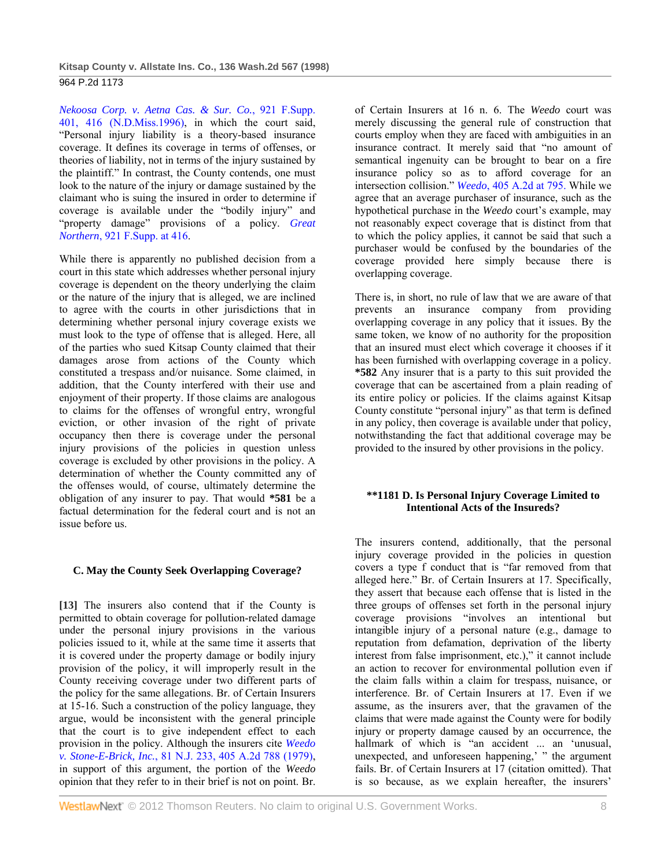*Nekoosa Corp. v. Aetna Cas. & Sur. Co.*, 921 F.Supp. 401, 416 (N.D.Miss.1996), in which the court said, "Personal injury liability is a theory-based insurance coverage. It defines its coverage in terms of offenses, or theories of liability, not in terms of the injury sustained by the plaintiff." In contrast, the County contends, one must look to the nature of the injury or damage sustained by the claimant who is suing the insured in order to determine if coverage is available under the "bodily injury" and "property damage" provisions of a policy. *Great Northern*, 921 F.Supp. at 416.

While there is apparently no published decision from a court in this state which addresses whether personal injury coverage is dependent on the theory underlying the claim or the nature of the injury that is alleged, we are inclined to agree with the courts in other jurisdictions that in determining whether personal injury coverage exists we must look to the type of offense that is alleged. Here, all of the parties who sued Kitsap County claimed that their damages arose from actions of the County which constituted a trespass and/or nuisance. Some claimed, in addition, that the County interfered with their use and enjoyment of their property. If those claims are analogous to claims for the offenses of wrongful entry, wrongful eviction, or other invasion of the right of private occupancy then there is coverage under the personal injury provisions of the policies in question unless coverage is excluded by other provisions in the policy. A determination of whether the County committed any of the offenses would, of course, ultimately determine the obligation of any insurer to pay. That would **\*581** be a factual determination for the federal court and is not an issue before us.

# **C. May the County Seek Overlapping Coverage?**

**[13]** The insurers also contend that if the County is permitted to obtain coverage for pollution-related damage under the personal injury provisions in the various policies issued to it, while at the same time it asserts that it is covered under the property damage or bodily injury provision of the policy, it will improperly result in the County receiving coverage under two different parts of the policy for the same allegations. Br. of Certain Insurers at 15-16. Such a construction of the policy language, they argue, would be inconsistent with the general principle that the court is to give independent effect to each provision in the policy. Although the insurers cite *Weedo v. Stone-E-Brick, Inc.*, 81 N.J. 233, 405 A.2d 788 (1979), in support of this argument, the portion of the *Weedo* opinion that they refer to in their brief is not on point. Br.

of Certain Insurers at 16 n. 6. The *Weedo* court was merely discussing the general rule of construction that courts employ when they are faced with ambiguities in an insurance contract. It merely said that "no amount of semantical ingenuity can be brought to bear on a fire insurance policy so as to afford coverage for an intersection collision." *Weedo*, 405 A.2d at 795. While we agree that an average purchaser of insurance, such as the hypothetical purchase in the *Weedo* court's example, may not reasonably expect coverage that is distinct from that to which the policy applies, it cannot be said that such a purchaser would be confused by the boundaries of the coverage provided here simply because there is overlapping coverage.

There is, in short, no rule of law that we are aware of that prevents an insurance company from providing overlapping coverage in any policy that it issues. By the same token, we know of no authority for the proposition that an insured must elect which coverage it chooses if it has been furnished with overlapping coverage in a policy. **\*582** Any insurer that is a party to this suit provided the coverage that can be ascertained from a plain reading of its entire policy or policies. If the claims against Kitsap County constitute "personal injury" as that term is defined in any policy, then coverage is available under that policy, notwithstanding the fact that additional coverage may be provided to the insured by other provisions in the policy.

## **\*\*1181 D. Is Personal Injury Coverage Limited to Intentional Acts of the Insureds?**

The insurers contend, additionally, that the personal injury coverage provided in the policies in question covers a type f conduct that is "far removed from that alleged here." Br. of Certain Insurers at 17. Specifically, they assert that because each offense that is listed in the three groups of offenses set forth in the personal injury coverage provisions "involves an intentional but intangible injury of a personal nature (e.g., damage to reputation from defamation, deprivation of the liberty interest from false imprisonment, etc.)," it cannot include an action to recover for environmental pollution even if the claim falls within a claim for trespass, nuisance, or interference. Br. of Certain Insurers at 17. Even if we assume, as the insurers aver, that the gravamen of the claims that were made against the County were for bodily injury or property damage caused by an occurrence, the hallmark of which is "an accident ... an 'unusual, unexpected, and unforeseen happening,' " the argument fails. Br. of Certain Insurers at 17 (citation omitted). That is so because, as we explain hereafter, the insurers'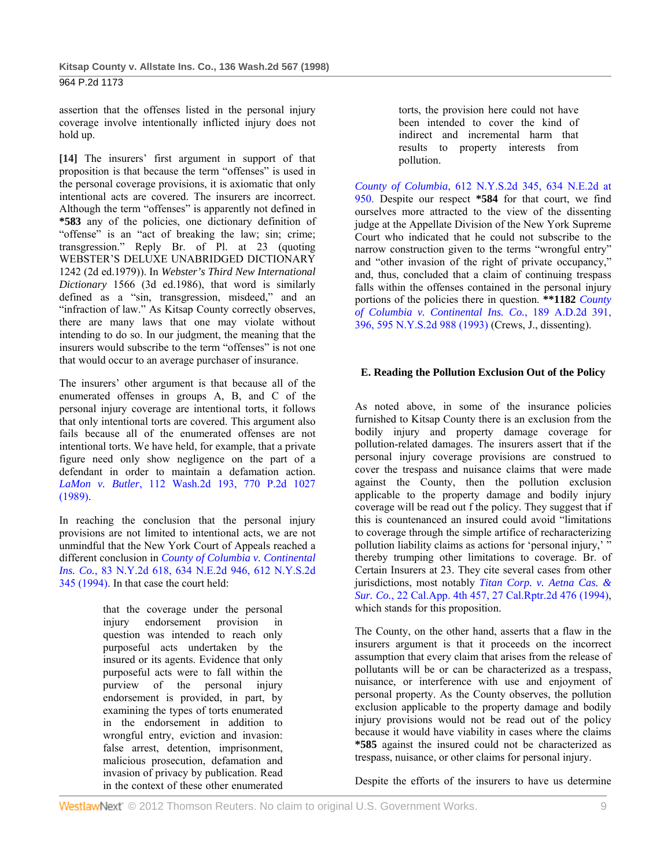assertion that the offenses listed in the personal injury coverage involve intentionally inflicted injury does not hold up.

**[14]** The insurers' first argument in support of that proposition is that because the term "offenses" is used in the personal coverage provisions, it is axiomatic that only intentional acts are covered. The insurers are incorrect. Although the term "offenses" is apparently not defined in **\*583** any of the policies, one dictionary definition of "offense" is an "act of breaking the law; sin; crime; transgression." Reply Br. of Pl. at 23 (quoting WEBSTER'S DELUXE UNABRIDGED DICTIONARY 1242 (2d ed.1979)). In *Webster's Third New International Dictionary* 1566 (3d ed.1986), that word is similarly defined as a "sin, transgression, misdeed," and an "infraction of law." As Kitsap County correctly observes, there are many laws that one may violate without intending to do so. In our judgment, the meaning that the insurers would subscribe to the term "offenses" is not one that would occur to an average purchaser of insurance.

The insurers' other argument is that because all of the enumerated offenses in groups A, B, and C of the personal injury coverage are intentional torts, it follows that only intentional torts are covered. This argument also fails because all of the enumerated offenses are not intentional torts. We have held, for example, that a private figure need only show negligence on the part of a defendant in order to maintain a defamation action. *LaMon v. Butler*, 112 Wash.2d 193, 770 P.2d 1027 (1989).

In reaching the conclusion that the personal injury provisions are not limited to intentional acts, we are not unmindful that the New York Court of Appeals reached a different conclusion in *County of Columbia v. Continental Ins. Co.*, 83 N.Y.2d 618, 634 N.E.2d 946, 612 N.Y.S.2d 345 (1994). In that case the court held:

> that the coverage under the personal injury endorsement provision in question was intended to reach only purposeful acts undertaken by the insured or its agents. Evidence that only purposeful acts were to fall within the purview of the personal injury endorsement is provided, in part, by examining the types of torts enumerated in the endorsement in addition to wrongful entry, eviction and invasion: false arrest, detention, imprisonment, malicious prosecution, defamation and invasion of privacy by publication. Read in the context of these other enumerated

torts, the provision here could not have been intended to cover the kind of indirect and incremental harm that results to property interests from pollution.

*County of Columbia*, 612 N.Y.S.2d 345, 634 N.E.2d at 950. Despite our respect **\*584** for that court, we find ourselves more attracted to the view of the dissenting judge at the Appellate Division of the New York Supreme Court who indicated that he could not subscribe to the narrow construction given to the terms "wrongful entry" and "other invasion of the right of private occupancy," and, thus, concluded that a claim of continuing trespass falls within the offenses contained in the personal injury portions of the policies there in question. **\*\*1182** *County of Columbia v. Continental Ins. Co.*, 189 A.D.2d 391, 396, 595 N.Y.S.2d 988 (1993) (Crews, J., dissenting).

## **E. Reading the Pollution Exclusion Out of the Policy**

As noted above, in some of the insurance policies furnished to Kitsap County there is an exclusion from the bodily injury and property damage coverage for pollution-related damages. The insurers assert that if the personal injury coverage provisions are construed to cover the trespass and nuisance claims that were made against the County, then the pollution exclusion applicable to the property damage and bodily injury coverage will be read out f the policy. They suggest that if this is countenanced an insured could avoid "limitations to coverage through the simple artifice of recharacterizing pollution liability claims as actions for 'personal injury,' thereby trumping other limitations to coverage. Br. of Certain Insurers at 23. They cite several cases from other jurisdictions, most notably *Titan Corp. v. Aetna Cas. & Sur. Co.*, 22 Cal.App. 4th 457, 27 Cal.Rptr.2d 476 (1994), which stands for this proposition.

The County, on the other hand, asserts that a flaw in the insurers argument is that it proceeds on the incorrect assumption that every claim that arises from the release of pollutants will be or can be characterized as a trespass, nuisance, or interference with use and enjoyment of personal property. As the County observes, the pollution exclusion applicable to the property damage and bodily injury provisions would not be read out of the policy because it would have viability in cases where the claims **\*585** against the insured could not be characterized as trespass, nuisance, or other claims for personal injury.

Despite the efforts of the insurers to have us determine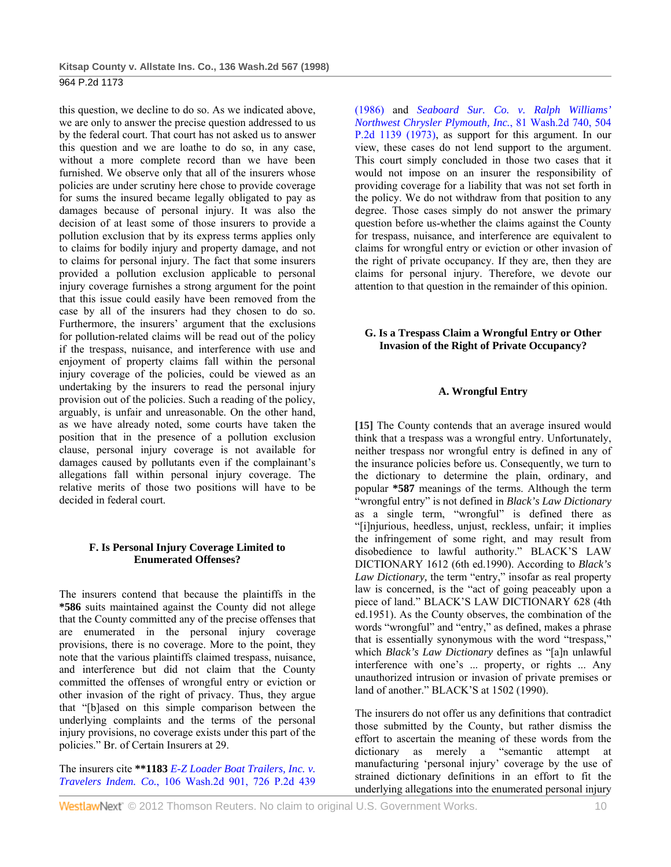this question, we decline to do so. As we indicated above, we are only to answer the precise question addressed to us by the federal court. That court has not asked us to answer this question and we are loathe to do so, in any case, without a more complete record than we have been furnished. We observe only that all of the insurers whose policies are under scrutiny here chose to provide coverage for sums the insured became legally obligated to pay as damages because of personal injury. It was also the decision of at least some of those insurers to provide a pollution exclusion that by its express terms applies only to claims for bodily injury and property damage, and not to claims for personal injury. The fact that some insurers provided a pollution exclusion applicable to personal injury coverage furnishes a strong argument for the point that this issue could easily have been removed from the case by all of the insurers had they chosen to do so. Furthermore, the insurers' argument that the exclusions for pollution-related claims will be read out of the policy if the trespass, nuisance, and interference with use and enjoyment of property claims fall within the personal injury coverage of the policies, could be viewed as an undertaking by the insurers to read the personal injury provision out of the policies. Such a reading of the policy, arguably, is unfair and unreasonable. On the other hand, as we have already noted, some courts have taken the position that in the presence of a pollution exclusion clause, personal injury coverage is not available for damages caused by pollutants even if the complainant's allegations fall within personal injury coverage. The relative merits of those two positions will have to be decided in federal court.

## **F. Is Personal Injury Coverage Limited to Enumerated Offenses?**

The insurers contend that because the plaintiffs in the **\*586** suits maintained against the County did not allege that the County committed any of the precise offenses that are enumerated in the personal injury coverage provisions, there is no coverage. More to the point, they note that the various plaintiffs claimed trespass, nuisance, and interference but did not claim that the County committed the offenses of wrongful entry or eviction or other invasion of the right of privacy. Thus, they argue that "[b]ased on this simple comparison between the underlying complaints and the terms of the personal injury provisions, no coverage exists under this part of the policies." Br. of Certain Insurers at 29.

The insurers cite **\*\*1183** *E-Z Loader Boat Trailers, Inc. v. Travelers Indem. Co.*, 106 Wash.2d 901, 726 P.2d 439

(1986) and *Seaboard Sur. Co. v. Ralph Williams' Northwest Chrysler Plymouth, Inc.*, 81 Wash.2d 740, 504 P.2d 1139 (1973), as support for this argument. In our view, these cases do not lend support to the argument. This court simply concluded in those two cases that it would not impose on an insurer the responsibility of providing coverage for a liability that was not set forth in the policy. We do not withdraw from that position to any degree. Those cases simply do not answer the primary question before us-whether the claims against the County for trespass, nuisance, and interference are equivalent to claims for wrongful entry or eviction or other invasion of the right of private occupancy. If they are, then they are claims for personal injury. Therefore, we devote our attention to that question in the remainder of this opinion.

# **G. Is a Trespass Claim a Wrongful Entry or Other Invasion of the Right of Private Occupancy?**

# **A. Wrongful Entry**

**[15]** The County contends that an average insured would think that a trespass was a wrongful entry. Unfortunately, neither trespass nor wrongful entry is defined in any of the insurance policies before us. Consequently, we turn to the dictionary to determine the plain, ordinary, and popular **\*587** meanings of the terms. Although the term "wrongful entry" is not defined in *Black's Law Dictionary* as a single term, "wrongful" is defined there as "[i]njurious, heedless, unjust, reckless, unfair; it implies the infringement of some right, and may result from disobedience to lawful authority." BLACK'S LAW DICTIONARY 1612 (6th ed.1990). According to *Black's Law Dictionary,* the term "entry," insofar as real property law is concerned, is the "act of going peaceably upon a piece of land." BLACK'S LAW DICTIONARY 628 (4th ed.1951). As the County observes, the combination of the words "wrongful" and "entry," as defined, makes a phrase that is essentially synonymous with the word "trespass," which *Black's Law Dictionary* defines as "[a]n unlawful interference with one's ... property, or rights ... Any unauthorized intrusion or invasion of private premises or land of another." BLACK'S at 1502 (1990).

The insurers do not offer us any definitions that contradict those submitted by the County, but rather dismiss the effort to ascertain the meaning of these words from the dictionary as merely a "semantic attempt at manufacturing 'personal injury' coverage by the use of strained dictionary definitions in an effort to fit the underlying allegations into the enumerated personal injury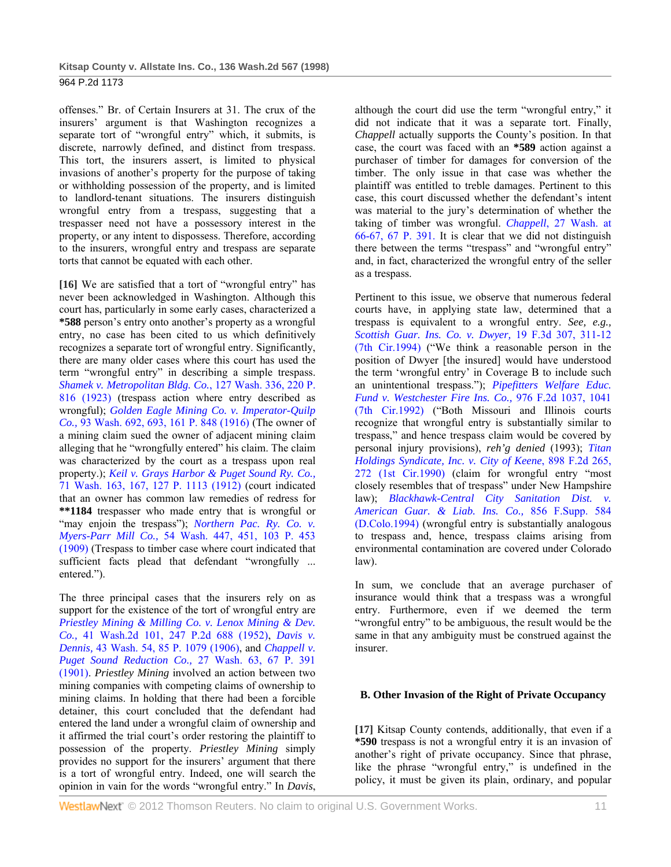offenses." Br. of Certain Insurers at 31. The crux of the insurers' argument is that Washington recognizes a separate tort of "wrongful entry" which, it submits, is discrete, narrowly defined, and distinct from trespass. This tort, the insurers assert, is limited to physical invasions of another's property for the purpose of taking or withholding possession of the property, and is limited to landlord-tenant situations. The insurers distinguish wrongful entry from a trespass, suggesting that a trespasser need not have a possessory interest in the property, or any intent to dispossess. Therefore, according to the insurers, wrongful entry and trespass are separate torts that cannot be equated with each other.

**[16]** We are satisfied that a tort of "wrongful entry" has never been acknowledged in Washington. Although this court has, particularly in some early cases, characterized a **\*588** person's entry onto another's property as a wrongful entry, no case has been cited to us which definitively recognizes a separate tort of wrongful entry. Significantly, there are many older cases where this court has used the term "wrongful entry" in describing a simple trespass. *Shamek v. Metropolitan Bldg. Co.*, 127 Wash. 336, 220 P. 816 (1923) (trespass action where entry described as wrongful); *Golden Eagle Mining Co. v. Imperator-Quilp Co.,* 93 Wash. 692, 693, 161 P. 848 (1916) (The owner of a mining claim sued the owner of adjacent mining claim alleging that he "wrongfully entered" his claim. The claim was characterized by the court as a trespass upon real property.); *Keil v. Grays Harbor & Puget Sound Ry. Co.,* 71 Wash. 163, 167, 127 P. 1113 (1912) (court indicated that an owner has common law remedies of redress for **\*\*1184** trespasser who made entry that is wrongful or "may enjoin the trespass"); *Northern Pac. Ry. Co. v. Myers-Parr Mill Co.,* 54 Wash. 447, 451, 103 P. 453 (1909) (Trespass to timber case where court indicated that sufficient facts plead that defendant "wrongfully ... entered.").

The three principal cases that the insurers rely on as support for the existence of the tort of wrongful entry are *Priestley Mining & Milling Co. v. Lenox Mining & Dev. Co.,* 41 Wash.2d 101, 247 P.2d 688 (1952), *Davis v. Dennis,* 43 Wash. 54, 85 P. 1079 (1906), and *Chappell v. Puget Sound Reduction Co.,* 27 Wash. 63, 67 P. 391 (1901). *Priestley Mining* involved an action between two mining companies with competing claims of ownership to mining claims. In holding that there had been a forcible detainer, this court concluded that the defendant had entered the land under a wrongful claim of ownership and it affirmed the trial court's order restoring the plaintiff to possession of the property. *Priestley Mining* simply provides no support for the insurers' argument that there is a tort of wrongful entry. Indeed, one will search the opinion in vain for the words "wrongful entry." In *Davis*,

although the court did use the term "wrongful entry," it did not indicate that it was a separate tort. Finally, *Chappell* actually supports the County's position. In that case, the court was faced with an **\*589** action against a purchaser of timber for damages for conversion of the timber. The only issue in that case was whether the plaintiff was entitled to treble damages. Pertinent to this case, this court discussed whether the defendant's intent was material to the jury's determination of whether the taking of timber was wrongful. *Chappell*, 27 Wash. at 66-67, 67 P. 391. It is clear that we did not distinguish there between the terms "trespass" and "wrongful entry" and, in fact, characterized the wrongful entry of the seller as a trespass.

Pertinent to this issue, we observe that numerous federal courts have, in applying state law, determined that a trespass is equivalent to a wrongful entry. *See, e.g., Scottish Guar. Ins. Co. v. Dwyer,* 19 F.3d 307, 311-12 (7th Cir.1994) ("We think a reasonable person in the position of Dwyer [the insured] would have understood the term 'wrongful entry' in Coverage B to include such an unintentional trespass."); *Pipefitters Welfare Educ. Fund v. Westchester Fire Ins. Co.,* 976 F.2d 1037, 1041 (7th Cir.1992) ("Both Missouri and Illinois courts recognize that wrongful entry is substantially similar to trespass," and hence trespass claim would be covered by personal injury provisions), *reh'g denied* (1993); *Titan Holdings Syndicate, Inc. v. City of Keene*, 898 F.2d 265, 272 (1st Cir.1990) (claim for wrongful entry "most closely resembles that of trespass" under New Hampshire law); *Blackhawk-Central City Sanitation Dist. v. American Guar. & Liab. Ins. Co.,* 856 F.Supp. 584 (D.Colo.1994) (wrongful entry is substantially analogous to trespass and, hence, trespass claims arising from environmental contamination are covered under Colorado law).

In sum, we conclude that an average purchaser of insurance would think that a trespass was a wrongful entry. Furthermore, even if we deemed the term "wrongful entry" to be ambiguous, the result would be the same in that any ambiguity must be construed against the insurer.

# **B. Other Invasion of the Right of Private Occupancy**

**[17]** Kitsap County contends, additionally, that even if a **\*590** trespass is not a wrongful entry it is an invasion of another's right of private occupancy. Since that phrase, like the phrase "wrongful entry," is undefined in the policy, it must be given its plain, ordinary, and popular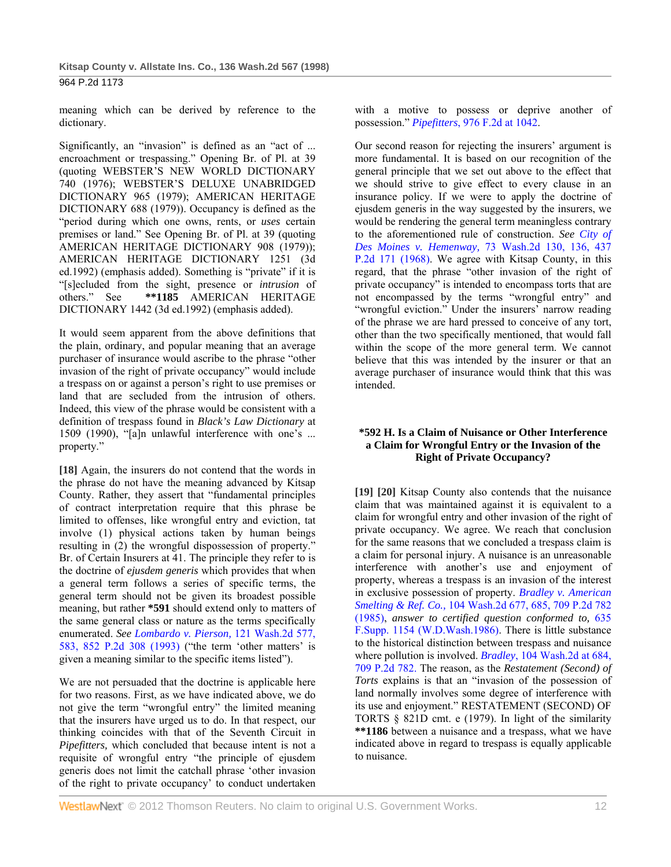meaning which can be derived by reference to the dictionary.

Significantly, an "invasion" is defined as an "act of ... encroachment or trespassing." Opening Br. of Pl. at 39 (quoting WEBSTER'S NEW WORLD DICTIONARY 740 (1976); WEBSTER'S DELUXE UNABRIDGED DICTIONARY 965 (1979); AMERICAN HERITAGE DICTIONARY 688 (1979)). Occupancy is defined as the "period during which one owns, rents, or *uses* certain premises or land." See Opening Br. of Pl. at 39 (quoting AMERICAN HERITAGE DICTIONARY 908 (1979)); AMERICAN HERITAGE DICTIONARY 1251 (3d ed.1992) (emphasis added). Something is "private" if it is "[s]ecluded from the sight, presence or *intrusion* of others." See **\*\*1185** AMERICAN HERITAGE DICTIONARY 1442 (3d ed.1992) (emphasis added).

It would seem apparent from the above definitions that the plain, ordinary, and popular meaning that an average purchaser of insurance would ascribe to the phrase "other invasion of the right of private occupancy" would include a trespass on or against a person's right to use premises or land that are secluded from the intrusion of others. Indeed, this view of the phrase would be consistent with a definition of trespass found in *Black's Law Dictionary* at 1509 (1990), "[a]n unlawful interference with one's ... property."

**[18]** Again, the insurers do not contend that the words in the phrase do not have the meaning advanced by Kitsap County. Rather, they assert that "fundamental principles of contract interpretation require that this phrase be limited to offenses, like wrongful entry and eviction, tat involve (1) physical actions taken by human beings resulting in (2) the wrongful dispossession of property." Br. of Certain Insurers at 41. The principle they refer to is the doctrine of *ejusdem generis* which provides that when a general term follows a series of specific terms, the general term should not be given its broadest possible meaning, but rather **\*591** should extend only to matters of the same general class or nature as the terms specifically enumerated. *See Lombardo v. Pierson,* 121 Wash.2d 577, 583, 852 P.2d 308 (1993) ("the term 'other matters' is given a meaning similar to the specific items listed").

We are not persuaded that the doctrine is applicable here for two reasons. First, as we have indicated above, we do not give the term "wrongful entry" the limited meaning that the insurers have urged us to do. In that respect, our thinking coincides with that of the Seventh Circuit in *Pipefitters,* which concluded that because intent is not a requisite of wrongful entry "the principle of ejusdem generis does not limit the catchall phrase 'other invasion of the right to private occupancy' to conduct undertaken with a motive to possess or deprive another of possession." *Pipefitters*, 976 F.2d at 1042.

Our second reason for rejecting the insurers' argument is more fundamental. It is based on our recognition of the general principle that we set out above to the effect that we should strive to give effect to every clause in an insurance policy. If we were to apply the doctrine of ejusdem generis in the way suggested by the insurers, we would be rendering the general term meaningless contrary to the aforementioned rule of construction. *See City of Des Moines v. Hemenway,* 73 Wash.2d 130, 136, 437 P.2d 171 (1968). We agree with Kitsap County, in this regard, that the phrase "other invasion of the right of private occupancy" is intended to encompass torts that are not encompassed by the terms "wrongful entry" and "wrongful eviction." Under the insurers' narrow reading of the phrase we are hard pressed to conceive of any tort, other than the two specifically mentioned, that would fall within the scope of the more general term. We cannot believe that this was intended by the insurer or that an average purchaser of insurance would think that this was intended.

## **\*592 H. Is a Claim of Nuisance or Other Interference a Claim for Wrongful Entry or the Invasion of the Right of Private Occupancy?**

**[19] [20]** Kitsap County also contends that the nuisance claim that was maintained against it is equivalent to a claim for wrongful entry and other invasion of the right of private occupancy. We agree. We reach that conclusion for the same reasons that we concluded a trespass claim is a claim for personal injury. A nuisance is an unreasonable interference with another's use and enjoyment of property, whereas a trespass is an invasion of the interest in exclusive possession of property. *Bradley v. American Smelting & Ref. Co.,* 104 Wash.2d 677, 685, 709 P.2d 782 (1985), *answer to certified question conformed to,* 635 F.Supp. 1154 (W.D.Wash.1986). There is little substance to the historical distinction between trespass and nuisance where pollution is involved. *Bradley*, 104 Wash.2d at 684, 709 P.2d 782. The reason, as the *Restatement (Second) of Torts* explains is that an "invasion of the possession of land normally involves some degree of interference with its use and enjoyment." RESTATEMENT (SECOND) OF TORTS § 821D cmt. e (1979). In light of the similarity **\*\*1186** between a nuisance and a trespass, what we have indicated above in regard to trespass is equally applicable to nuisance.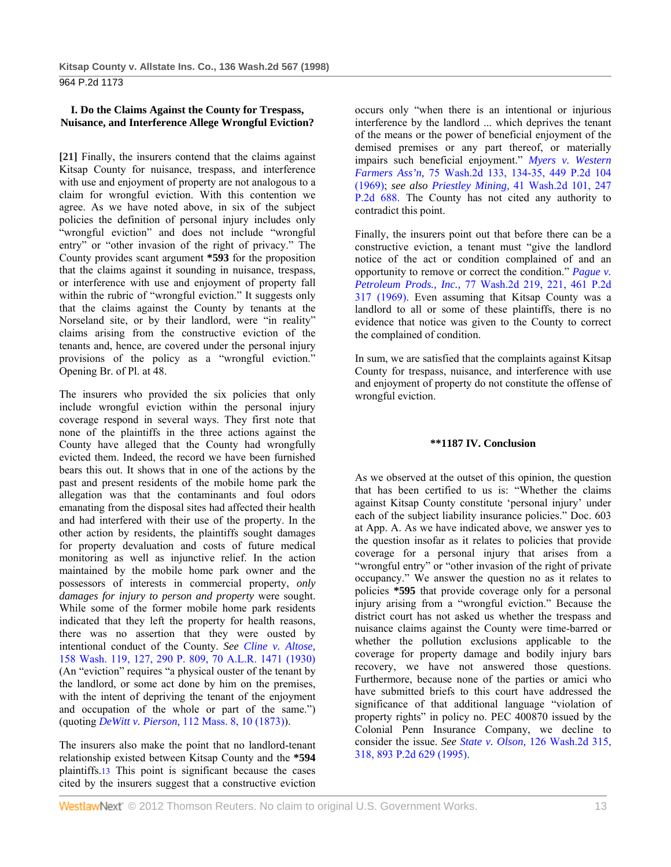## **I. Do the Claims Against the County for Trespass, Nuisance, and Interference Allege Wrongful Eviction?**

**[21]** Finally, the insurers contend that the claims against Kitsap County for nuisance, trespass, and interference with use and enjoyment of property are not analogous to a claim for wrongful eviction. With this contention we agree. As we have noted above, in six of the subject policies the definition of personal injury includes only "wrongful eviction" and does not include "wrongful entry" or "other invasion of the right of privacy." The County provides scant argument **\*593** for the proposition that the claims against it sounding in nuisance, trespass, or interference with use and enjoyment of property fall within the rubric of "wrongful eviction." It suggests only that the claims against the County by tenants at the Norseland site, or by their landlord, were "in reality" claims arising from the constructive eviction of the tenants and, hence, are covered under the personal injury provisions of the policy as a "wrongful eviction." Opening Br. of Pl. at 48.

The insurers who provided the six policies that only include wrongful eviction within the personal injury coverage respond in several ways. They first note that none of the plaintiffs in the three actions against the County have alleged that the County had wrongfully evicted them. Indeed, the record we have been furnished bears this out. It shows that in one of the actions by the past and present residents of the mobile home park the allegation was that the contaminants and foul odors emanating from the disposal sites had affected their health and had interfered with their use of the property. In the other action by residents, the plaintiffs sought damages for property devaluation and costs of future medical monitoring as well as injunctive relief. In the action maintained by the mobile home park owner and the possessors of interests in commercial property, *only damages for injury to person and property* were sought. While some of the former mobile home park residents indicated that they left the property for health reasons, there was no assertion that they were ousted by intentional conduct of the County. *See Cline v. Altose,* 158 Wash. 119, 127, 290 P. 809, 70 A.L.R. 1471 (1930) (An "eviction" requires "a physical ouster of the tenant by the landlord, or some act done by him on the premises, with the intent of depriving the tenant of the enjoyment and occupation of the whole or part of the same.") (quoting *DeWitt v. Pierson,* 112 Mass. 8, 10 (1873)).

The insurers also make the point that no landlord-tenant relationship existed between Kitsap County and the **\*594** plaintiffs.13 This point is significant because the cases cited by the insurers suggest that a constructive eviction

occurs only "when there is an intentional or injurious interference by the landlord ... which deprives the tenant of the means or the power of beneficial enjoyment of the demised premises or any part thereof, or materially impairs such beneficial enjoyment." *Myers v. Western Farmers Ass'n,* 75 Wash.2d 133, 134-35, 449 P.2d 104 (1969); *see also Priestley Mining,* 41 Wash.2d 101, 247 P.2d 688. The County has not cited any authority to contradict this point.

Finally, the insurers point out that before there can be a constructive eviction, a tenant must "give the landlord notice of the act or condition complained of and an opportunity to remove or correct the condition." *Pague v. Petroleum Prods., Inc.,* 77 Wash.2d 219, 221, 461 P.2d 317 (1969). Even assuming that Kitsap County was a landlord to all or some of these plaintiffs, there is no evidence that notice was given to the County to correct the complained of condition.

In sum, we are satisfied that the complaints against Kitsap County for trespass, nuisance, and interference with use and enjoyment of property do not constitute the offense of wrongful eviction.

## **\*\*1187 IV. Conclusion**

As we observed at the outset of this opinion, the question that has been certified to us is: "Whether the claims against Kitsap County constitute 'personal injury' under each of the subject liability insurance policies." Doc. 603 at App. A. As we have indicated above, we answer yes to the question insofar as it relates to policies that provide coverage for a personal injury that arises from a "wrongful entry" or "other invasion of the right of private occupancy." We answer the question no as it relates to policies **\*595** that provide coverage only for a personal injury arising from a "wrongful eviction." Because the district court has not asked us whether the trespass and nuisance claims against the County were time-barred or whether the pollution exclusions applicable to the coverage for property damage and bodily injury bars recovery, we have not answered those questions. Furthermore, because none of the parties or amici who have submitted briefs to this court have addressed the significance of that additional language "violation of property rights" in policy no. PEC 400870 issued by the Colonial Penn Insurance Company, we decline to consider the issue. *See State v. Olson,* 126 Wash.2d 315, 318, 893 P.2d 629 (1995).